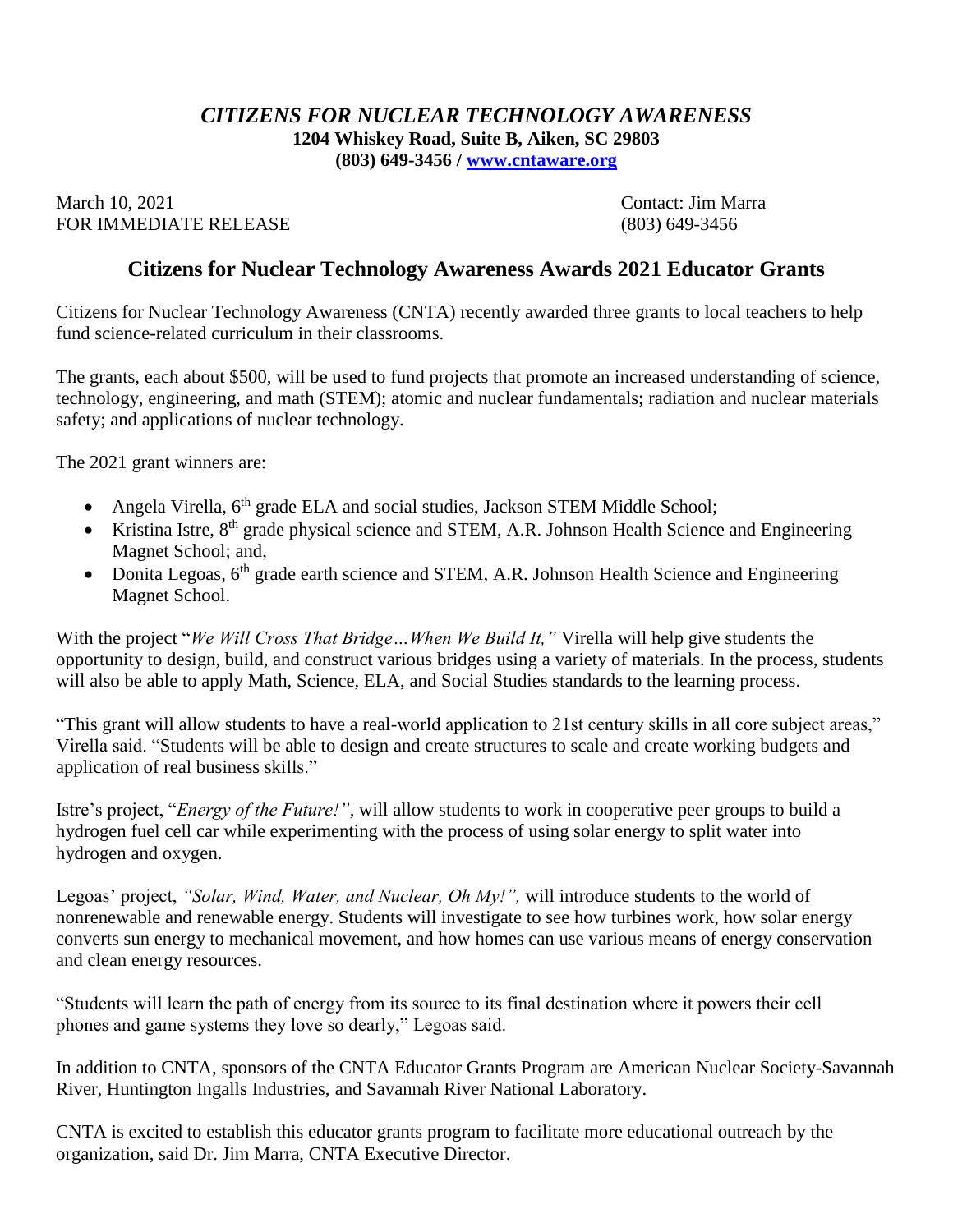## *CITIZENS FOR NUCLEAR TECHNOLOGY AWARENESS* **1204 Whiskey Road, Suite B, Aiken, SC 29803 (803) 649-3456 / [www.cntaware.org](about:blank)**

March 10, 2021 Contact: Jim Marra FOR IMMEDIATE RELEASE (803) 649-3456

## **Citizens for Nuclear Technology Awareness Awards 2021 Educator Grants**

Citizens for Nuclear Technology Awareness (CNTA) recently awarded three grants to local teachers to help fund science-related curriculum in their classrooms.

The grants, each about \$500, will be used to fund projects that promote an increased understanding of science, technology, engineering, and math (STEM); atomic and nuclear fundamentals; radiation and nuclear materials safety; and applications of nuclear technology.

The 2021 grant winners are:

- Angela Virella,  $6<sup>th</sup>$  grade ELA and social studies, Jackson STEM Middle School;
- Kristina Istre,  $8<sup>th</sup>$  grade physical science and STEM, A.R. Johnson Health Science and Engineering Magnet School; and,
- Donita Legoas,  $6<sup>th</sup>$  grade earth science and STEM, A.R. Johnson Health Science and Engineering Magnet School.

With the project "*We Will Cross That Bridge…When We Build It,"* Virella will help give students the opportunity to design, build, and construct various bridges using a variety of materials. In the process, students will also be able to apply Math, Science, ELA, and Social Studies standards to the learning process.

"This grant will allow students to have a real-world application to 21st century skills in all core subject areas," Virella said. "Students will be able to design and create structures to scale and create working budgets and application of real business skills."

Istre's project, "*Energy of the Future!",* will allow students to work in cooperative peer groups to build a hydrogen fuel cell car while experimenting with the process of using solar energy to split water into hydrogen and oxygen.

Legoas' project, *"Solar, Wind, Water, and Nuclear, Oh My!",* will introduce students to the world of nonrenewable and renewable energy. Students will investigate to see how turbines work, how solar energy converts sun energy to mechanical movement, and how homes can use various means of energy conservation and clean energy resources.

"Students will learn the path of energy from its source to its final destination where it powers their cell phones and game systems they love so dearly," Legoas said.

In addition to CNTA, sponsors of the CNTA Educator Grants Program are American Nuclear Society-Savannah River, Huntington Ingalls Industries, and Savannah River National Laboratory.

CNTA is excited to establish this educator grants program to facilitate more educational outreach by the organization, said Dr. Jim Marra, CNTA Executive Director.